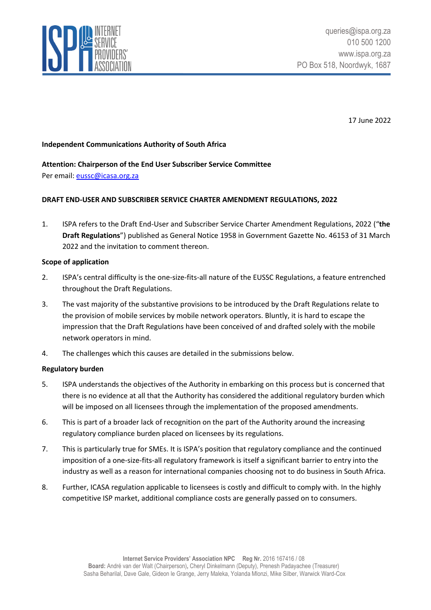

17 June 2022

### **Independent Communications Authority of South Africa**

# **Attention: Chairperson of the End User Subscriber Service Committee**

Per email: [eussc@icasa.org.za](mailto:eussc@icasa.org.za)

## **DRAFT END-USER AND SUBSCRIBER SERVICE CHARTER AMENDMENT REGULATIONS, 2022**

1. ISPA refers to the Draft End-User and Subscriber Service Charter Amendment Regulations, 2022 ("**the Draft Regulations**") published as General Notice 1958 in Government Gazette No. 46153 of 31 March 2022 and the invitation to comment thereon.

#### **Scope of application**

- 2. ISPA's central difficulty is the one-size-fits-all nature of the EUSSC Regulations, a feature entrenched throughout the Draft Regulations.
- 3. The vast majority of the substantive provisions to be introduced by the Draft Regulations relate to the provision of mobile services by mobile network operators. Bluntly, it is hard to escape the impression that the Draft Regulations have been conceived of and drafted solely with the mobile network operators in mind.
- 4. The challenges which this causes are detailed in the submissions below.

#### **Regulatory burden**

- 5. ISPA understands the objectives of the Authority in embarking on this process but is concerned that there is no evidence at all that the Authority has considered the additional regulatory burden which will be imposed on all licensees through the implementation of the proposed amendments.
- 6. This is part of a broader lack of recognition on the part of the Authority around the increasing regulatory compliance burden placed on licensees by its regulations.
- 7. This is particularly true for SMEs. It is ISPA's position that regulatory compliance and the continued imposition of a one-size-fits-all regulatory framework is itself a significant barrier to entry into the industry as well as a reason for international companies choosing not to do business in South Africa.
- 8. Further, ICASA regulation applicable to licensees is costly and difficult to comply with. In the highly competitive ISP market, additional compliance costs are generally passed on to consumers.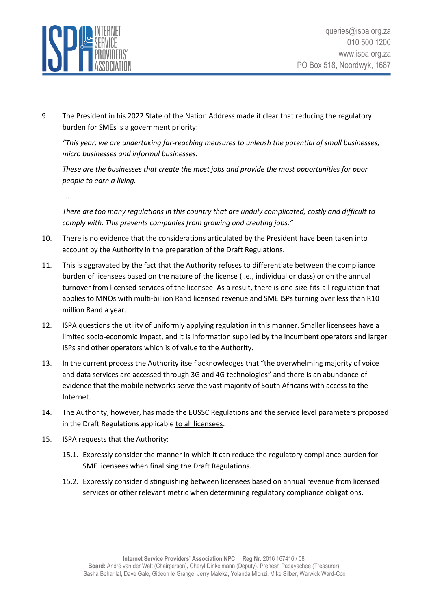

9. The President in his 2022 State of the Nation Address made it clear that reducing the regulatory burden for SMEs is a government priority:

*"This year, we are undertaking far-reaching measures to unleash the potential of small businesses, micro businesses and informal businesses.*

*These are the businesses that create the most jobs and provide the most opportunities for poor people to earn a living.*

*….*

*There are too many regulations in this country that are unduly complicated, costly and difficult to comply with. This prevents companies from growing and creating jobs."*

- 10. There is no evidence that the considerations articulated by the President have been taken into account by the Authority in the preparation of the Draft Regulations.
- 11. This is aggravated by the fact that the Authority refuses to differentiate between the compliance burden of licensees based on the nature of the license (i.e., individual or class) or on the annual turnover from licensed services of the licensee. As a result, there is one-size-fits-all regulation that applies to MNOs with multi-billion Rand licensed revenue and SME ISPs turning over less than R10 million Rand a year.
- 12. ISPA questions the utility of uniformly applying regulation in this manner. Smaller licensees have a limited socio-economic impact, and it is information supplied by the incumbent operators and larger ISPs and other operators which is of value to the Authority.
- 13. In the current process the Authority itself acknowledges that "the overwhelming majority of voice and data services are accessed through 3G and 4G technologies" and there is an abundance of evidence that the mobile networks serve the vast majority of South Africans with access to the Internet.
- 14. The Authority, however, has made the EUSSC Regulations and the service level parameters proposed in the Draft Regulations applicable to all licensees.
- 15. ISPA requests that the Authority:
	- 15.1. Expressly consider the manner in which it can reduce the regulatory compliance burden for SME licensees when finalising the Draft Regulations.
	- 15.2. Expressly consider distinguishing between licensees based on annual revenue from licensed services or other relevant metric when determining regulatory compliance obligations.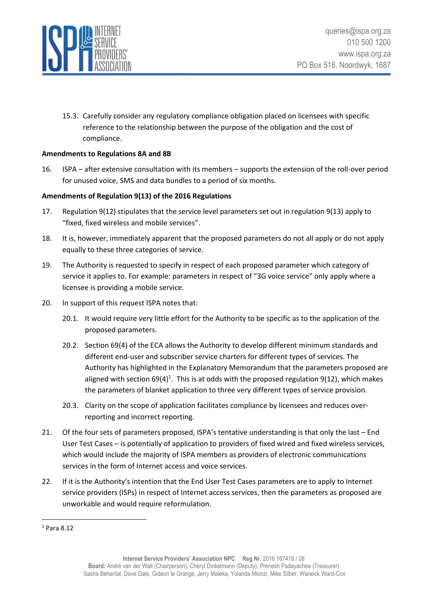

15.3. Carefully consider any regulatory compliance obligation placed on licensees with specific reference to the relationship between the purpose of the obligation and the cost of compliance.

#### **Amendments to Regulations 8A and 8B**

16. ISPA – after extensive consultation with its members – supports the extension of the roll-over period for unused voice, SMS and data bundles to a period of six months.

#### **Amendments of Regulation 9(13) of the 2016 Regulations**

- 17. Regulation 9(12) stipulates that the service level parameters set out in regulation 9(13) apply to "fixed, fixed wireless and mobile services".
- 18. It is, however, immediately apparent that the proposed parameters do not all apply or do not apply equally to these three categories of service.
- 19. The Authority is requested to specify in respect of each proposed parameter which category of service it applies to. For example: parameters in respect of "3G voice service" only apply where a licensee is providing a mobile service.
- 20. In support of this request ISPA notes that:
	- 20.1. It would require very little effort for the Authority to be specific as to the application of the proposed parameters.
	- 20.2. Section 69(4) of the ECA allows the Authority to develop different minimum standards and different end-user and subscriber service charters for different types of services. The Authority has highlighted in the Explanatory Memorandum that the parameters proposed are aligned with section 69(4)<sup>1</sup>. This is at odds with the proposed regulation 9(12), which makes the parameters of blanket application to three very different types of service provision.
	- 20.3. Clarity on the scope of application facilitates compliance by licensees and reduces overreporting and incorrect reporting.
- 21. Of the four sets of parameters proposed, ISPA's tentative understanding is that only the last End User Test Cases – is potentially of application to providers of fixed wired and fixed wireless services, which would include the majority of ISPA members as providers of electronic communications services in the form of Internet access and voice services.
- 22. If it is the Authority's intention that the End User Test Cases parameters are to apply to Internet service providers (ISPs) in respect of Internet access services, then the parameters as proposed are unworkable and would require reformulation.

<sup>1</sup> Para 8.12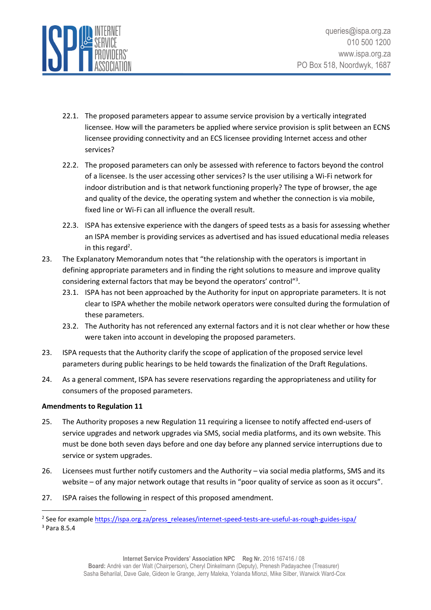

- 22.1. The proposed parameters appear to assume service provision by a vertically integrated licensee. How will the parameters be applied where service provision is split between an ECNS licensee providing connectivity and an ECS licensee providing Internet access and other services?
- 22.2. The proposed parameters can only be assessed with reference to factors beyond the control of a licensee. Is the user accessing other services? Is the user utilising a Wi-Fi network for indoor distribution and is that network functioning properly? The type of browser, the age and quality of the device, the operating system and whether the connection is via mobile, fixed line or Wi-Fi can all influence the overall result.
- 22.3. ISPA has extensive experience with the dangers of speed tests as a basis for assessing whether an ISPA member is providing services as advertised and has issued educational media releases in this regard<sup>2</sup>.
- 23. The Explanatory Memorandum notes that "the relationship with the operators is important in defining appropriate parameters and in finding the right solutions to measure and improve quality considering external factors that may be beyond the operators' control"<sup>3</sup>.
	- 23.1. ISPA has not been approached by the Authority for input on appropriate parameters. It is not clear to ISPA whether the mobile network operators were consulted during the formulation of these parameters.
	- 23.2. The Authority has not referenced any external factors and it is not clear whether or how these were taken into account in developing the proposed parameters.
- 23. ISPA requests that the Authority clarify the scope of application of the proposed service level parameters during public hearings to be held towards the finalization of the Draft Regulations.
- 24. As a general comment, ISPA has severe reservations regarding the appropriateness and utility for consumers of the proposed parameters.

#### **Amendments to Regulation 11**

- 25. The Authority proposes a new Regulation 11 requiring a licensee to notify affected end-users of service upgrades and network upgrades via SMS, social media platforms, and its own website. This must be done both seven days before and one day before any planned service interruptions due to service or system upgrades.
- 26. Licensees must further notify customers and the Authority via social media platforms, SMS and its website – of any major network outage that results in "poor quality of service as soon as it occurs".
- 27. ISPA raises the following in respect of this proposed amendment.

<sup>&</sup>lt;sup>2</sup> See for example [https://ispa.org.za/press\\_releases/internet-speed-tests-are-useful-as-rough-guides-ispa/](https://ispa.org.za/press_releases/internet-speed-tests-are-useful-as-rough-guides-ispa/)

<sup>3</sup> Para 8.5.4